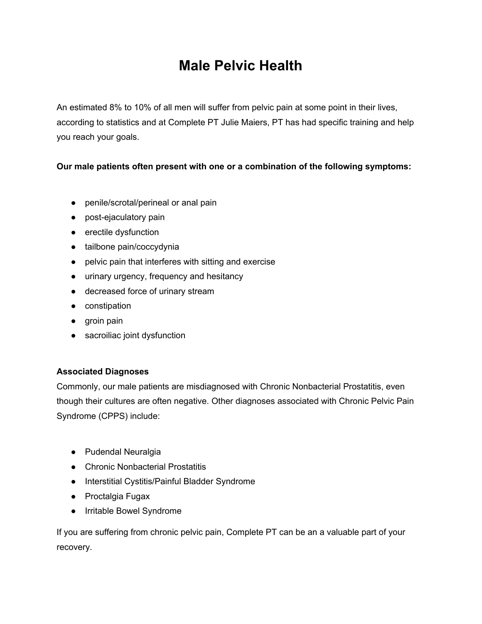## **Male Pelvic Health**

An estimated 8% to 10% of all men will suffer from pelvic pain at some point in their lives, according to statistics and at Complete PT Julie Maiers, PT has had specific training and help you reach your goals.

## **Our male patients often present with one or a combination of the following symptoms:**

- penile/scrotal/perineal or anal pain
- post-ejaculatory pain
- erectile dysfunction
- tailbone pain/coccydynia
- pelvic pain that interferes with sitting and exercise
- urinary urgency, frequency and hesitancy
- decreased force of urinary stream
- constipation
- groin pain
- sacroiliac joint dysfunction

## **Associated Diagnoses**

Commonly, our male patients are misdiagnosed with Chronic Nonbacterial Prostatitis, even though their cultures are often negative. Other diagnoses associated with Chronic Pelvic Pain Syndrome (CPPS) include:

- Pudendal Neuralgia
- Chronic Nonbacterial Prostatitis
- Interstitial Cystitis/Painful Bladder Syndrome
- Proctalgia Fugax
- Irritable Bowel Syndrome

If you are suffering from chronic pelvic pain, Complete PT can be an a valuable part of your recovery.